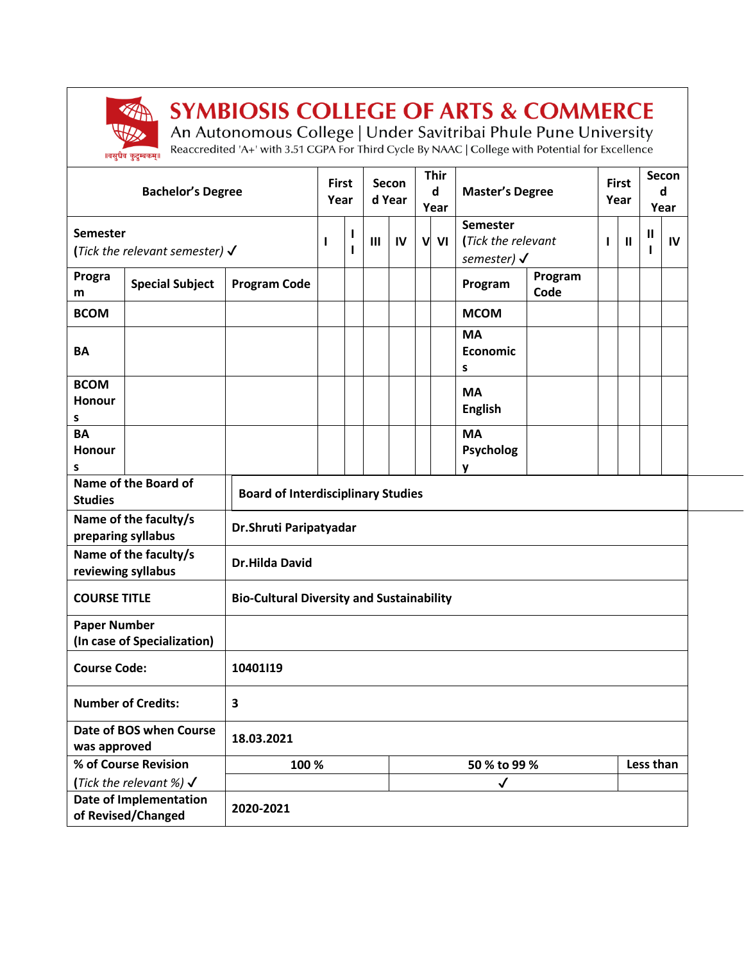

## **SYMBIOSIS COLLEGE OF ARTS & COMMERCE**

An Autonomous College | Under Savitribai Phule Pune University<br>Reaccredited 'A+' with 3.51 CGPA For Third Cycle By NAAC | College with Potential for Excellence

|                                                     | <b>Bachelor's Degree</b>                  |                                                  | <b>First</b><br>Year |        |                | Secon<br>d Year |   | <b>Thir</b><br>$\mathsf{d}$<br>Year | <b>Master's Degree</b>                              |                 |   | <b>First</b><br>Year | Secon<br>d   | Year |
|-----------------------------------------------------|-------------------------------------------|--------------------------------------------------|----------------------|--------|----------------|-----------------|---|-------------------------------------|-----------------------------------------------------|-----------------|---|----------------------|--------------|------|
| <b>Semester</b>                                     | (Tick the relevant semester) $\checkmark$ |                                                  | ı                    | L<br>ı | $\mathbf{III}$ | IV              | V | VI                                  | Semester<br>(Tick the relevant<br>semester) $\sqrt$ |                 | 1 | $\mathbf{I}$         | $\mathbf{I}$ | IV   |
| Progra<br>m                                         | <b>Special Subject</b>                    | <b>Program Code</b>                              |                      |        |                |                 |   |                                     | Program                                             | Program<br>Code |   |                      |              |      |
| <b>BCOM</b>                                         |                                           |                                                  |                      |        |                |                 |   |                                     | <b>MCOM</b>                                         |                 |   |                      |              |      |
| BA                                                  |                                           |                                                  |                      |        |                |                 |   |                                     | <b>MA</b><br>Economic<br>s                          |                 |   |                      |              |      |
| <b>BCOM</b><br>Honour<br>s                          |                                           |                                                  |                      |        |                |                 |   |                                     | <b>MA</b><br><b>English</b>                         |                 |   |                      |              |      |
| <b>BA</b><br>Honour<br>s                            |                                           |                                                  |                      |        |                |                 |   |                                     | <b>MA</b><br>Psycholog<br>y                         |                 |   |                      |              |      |
| Name of the Board of<br><b>Studies</b>              |                                           | <b>Board of Interdisciplinary Studies</b>        |                      |        |                |                 |   |                                     |                                                     |                 |   |                      |              |      |
| Name of the faculty/s<br>preparing syllabus         |                                           | Dr.Shruti Paripatyadar                           |                      |        |                |                 |   |                                     |                                                     |                 |   |                      |              |      |
| Name of the faculty/s<br>reviewing syllabus         |                                           | <b>Dr.Hilda David</b>                            |                      |        |                |                 |   |                                     |                                                     |                 |   |                      |              |      |
| <b>COURSE TITLE</b>                                 |                                           | <b>Bio-Cultural Diversity and Sustainability</b> |                      |        |                |                 |   |                                     |                                                     |                 |   |                      |              |      |
| <b>Paper Number</b><br>(In case of Specialization)  |                                           |                                                  |                      |        |                |                 |   |                                     |                                                     |                 |   |                      |              |      |
| <b>Course Code:</b>                                 |                                           | 10401l19                                         |                      |        |                |                 |   |                                     |                                                     |                 |   |                      |              |      |
| <b>Number of Credits:</b><br>З                      |                                           |                                                  |                      |        |                |                 |   |                                     |                                                     |                 |   |                      |              |      |
| Date of BOS when Course<br>was approved             |                                           | 18.03.2021                                       |                      |        |                |                 |   |                                     |                                                     |                 |   |                      |              |      |
| % of Course Revision                                |                                           | 100 %                                            |                      |        |                | 50 % to 99 %    |   |                                     |                                                     |                 |   | Less than            |              |      |
|                                                     | (Tick the relevant %) $\checkmark$        |                                                  |                      |        |                |                 |   |                                     | $\checkmark$                                        |                 |   |                      |              |      |
| <b>Date of Implementation</b><br>of Revised/Changed |                                           | 2020-2021                                        |                      |        |                |                 |   |                                     |                                                     |                 |   |                      |              |      |